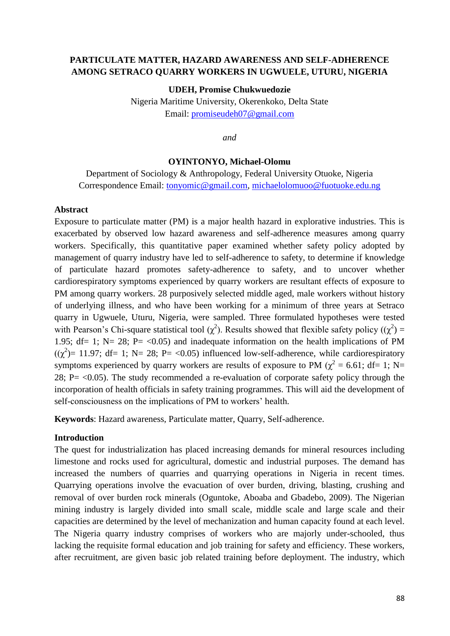# **PARTICULATE MATTER, HAZARD AWARENESS AND SELF-ADHERENCE AMONG SETRACO QUARRY WORKERS IN UGWUELE, UTURU, NIGERIA**

**UDEH, Promise Chukwuedozie**

Nigeria Maritime University, Okerenkoko, Delta State Email: [promiseudeh07@gmail.com](mailto:promiseudeh07@gmail.com)

*and* 

#### **OYINTONYO, Michael-Olomu**

Department of Sociology & Anthropology, Federal University Otuoke, Nigeria Correspondence Email: [tonyomic@gmail.com,](mailto:tonyomic@gmail.com) [michaelolomuoo@fuotuoke.edu.ng](mailto:michaelolomuoo@fuotuoke.edu.ng)

### **Abstract**

Exposure to particulate matter (PM) is a major health hazard in explorative industries. This is exacerbated by observed low hazard awareness and self-adherence measures among quarry workers. Specifically, this quantitative paper examined whether safety policy adopted by management of quarry industry have led to self-adherence to safety, to determine if knowledge of particulate hazard promotes safety-adherence to safety, and to uncover whether cardiorespiratory symptoms experienced by quarry workers are resultant effects of exposure to PM among quarry workers. 28 purposively selected middle aged, male workers without history of underlying illness, and who have been working for a minimum of three years at Setraco quarry in Ugwuele, Uturu, Nigeria, were sampled. Three formulated hypotheses were tested with Pearson's Chi-square statistical tool ( $\chi^2$ ). Results showed that flexible safety policy (( $\chi^2$ ) = 1.95; df= 1; N= 28; P=  $\lt 0.05$ ) and inadequate information on the health implications of PM  $((\chi^2)$ = 11.97; df= 1; N= 28; P= <0.05) influenced low-self-adherence, while cardiorespiratory symptoms experienced by quarry workers are results of exposure to PM ( $\chi^2$  = 6.61; df= 1; N= 28; P $=$  <0.05). The study recommended a re-evaluation of corporate safety policy through the incorporation of health officials in safety training programmes. This will aid the development of self-consciousness on the implications of PM to workers' health.

**Keywords**: Hazard awareness, Particulate matter, Quarry, Self-adherence.

### **Introduction**

The quest for industrialization has placed increasing demands for mineral resources including limestone and rocks used for agricultural, domestic and industrial purposes. The demand has increased the numbers of quarries and quarrying operations in Nigeria in recent times. Quarrying operations involve the evacuation of over burden, driving, blasting, crushing and removal of over burden rock minerals (Oguntoke, Aboaba and Gbadebo, 2009). The Nigerian mining industry is largely divided into small scale, middle scale and large scale and their capacities are determined by the level of mechanization and human capacity found at each level. The Nigeria quarry industry comprises of workers who are majorly under-schooled, thus lacking the requisite formal education and job training for safety and efficiency. These workers, after recruitment, are given basic job related training before deployment. The industry, which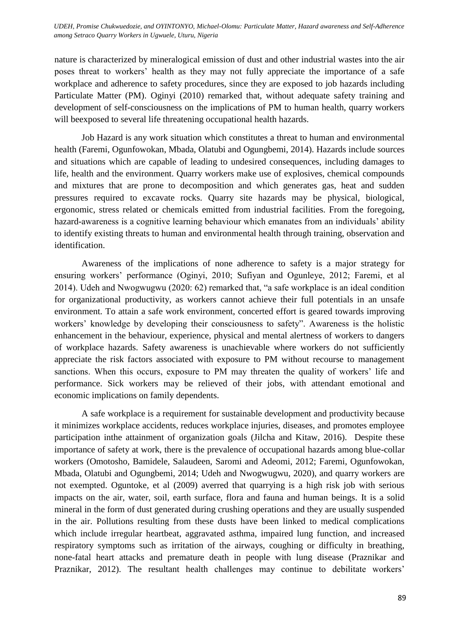UDEH, Promise Chukwuedozie, and OYINTONYO, Michael-Olomu: Particulate Matter, Hazard awareness and Self-Adherence<br>sweets Setters Ottown Warkers in Haunala Hawn Niasais *among Setraco Quarry Workers in Ugwuele, Uturu, Nigeria*

nature is characterized by mineralogical emission of dust and other industrial wastes into the air poses threat to workers' health as they may not fully appreciate the importance of a safe workplace and adherence to safety procedures, since they are exposed to job hazards including Particulate Matter (PM). Oginyi (2010) remarked that, without adequate safety training and development of self-consciousness on the implications of PM to human health, quarry workers will beexposed to several life threatening occupational health hazards.

Job Hazard is any work situation which constitutes a threat to human and environmental health (Faremi, Ogunfowokan, Mbada, Olatubi and Ogungbemi, 2014). Hazards include sources and situations which are capable of leading to undesired consequences, including damages to life, health and the environment. Quarry workers make use of explosives, chemical compounds and mixtures that are prone to decomposition and which generates gas, heat and sudden pressures required to excavate rocks. Quarry site hazards may be physical, biological, ergonomic, stress related or chemicals emitted from industrial facilities. From the foregoing, hazard-awareness is a cognitive learning behaviour which emanates from an individuals' ability to identify existing threats to human and environmental health through training, observation and identification.

Awareness of the implications of none adherence to safety is a major strategy for ensuring workers' performance (Oginyi, 2010; Sufiyan and Ogunleye, 2012; Faremi, et al 2014). Udeh and Nwogwugwu (2020: 62) remarked that, "a safe workplace is an ideal condition for organizational productivity, as workers cannot achieve their full potentials in an unsafe environment. To attain a safe work environment, concerted effort is geared towards improving workers' knowledge by developing their consciousness to safety". Awareness is the holistic enhancement in the behaviour, experience, physical and mental alertness of workers to dangers of workplace hazards. Safety awareness is unachievable where workers do not sufficiently appreciate the risk factors associated with exposure to PM without recourse to management sanctions. When this occurs, exposure to PM may threaten the quality of workers' life and performance. Sick workers may be relieved of their jobs, with attendant emotional and economic implications on family dependents.

A safe workplace is a requirement for sustainable development and productivity because it minimizes workplace accidents, reduces workplace injuries, diseases, and promotes employee participation inthe attainment of organization goals (Jilcha and Kitaw, 2016). Despite these importance of safety at work, there is the prevalence of occupational hazards among blue-collar workers (Omotosho, Bamidele, Salaudeen, Saromi and Adeomi, 2012; Faremi, Ogunfowokan, Mbada, Olatubi and Ogungbemi, 2014; Udeh and Nwogwugwu, 2020), and quarry workers are not exempted. Oguntoke, et al (2009) averred that quarrying is a high risk job with serious impacts on the air, water, soil, earth surface, flora and fauna and human beings. It is a solid mineral in the form of dust generated during crushing operations and they are usually suspended in the air. Pollutions resulting from these dusts have been linked to medical complications which include irregular heartbeat, aggravated asthma, impaired lung function, and increased respiratory symptoms such as irritation of the airways, coughing or difficulty in breathing, none-fatal heart attacks and premature death in people with lung disease (Praznikar and Praznikar, 2012). The resultant health challenges may continue to debilitate workers'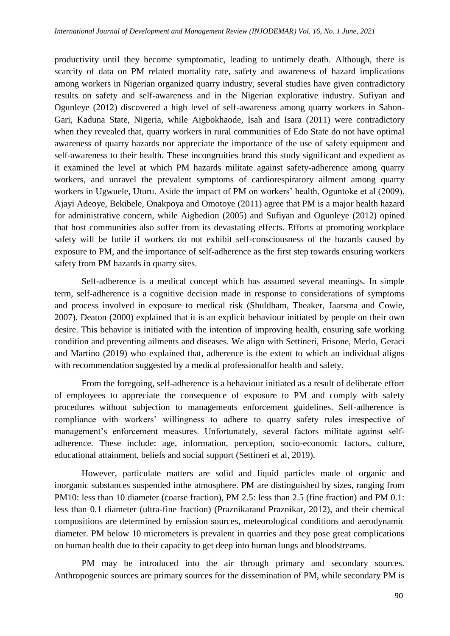productivity until they become symptomatic, leading to untimely death. Although, there is scarcity of data on PM related mortality rate, safety and awareness of hazard implications among workers in Nigerian organized quarry industry, several studies have given contradictory results on safety and self-awareness and in the Nigerian explorative industry. Sufiyan and Ogunleye (2012) discovered a high level of self-awareness among quarry workers in Sabon-Gari, Kaduna State, Nigeria, while Aigbokhaode, Isah and Isara (2011) were contradictory when they revealed that, quarry workers in rural communities of Edo State do not have optimal awareness of quarry hazards nor appreciate the importance of the use of safety equipment and self-awareness to their health. These incongruities brand this study significant and expedient as it examined the level at which PM hazards militate against safety-adherence among quarry workers, and unravel the prevalent symptoms of cardiorespiratory ailment among quarry workers in Ugwuele, Uturu. Aside the impact of PM on workers' health, Oguntoke et al (2009), Ajayi Adeoye, Bekibele, Onakpoya and Omotoye (2011) agree that PM is a major health hazard for administrative concern, while Aigbedion (2005) and Sufiyan and Ogunleye (2012) opined that host communities also suffer from its devastating effects. Efforts at promoting workplace safety will be futile if workers do not exhibit self-consciousness of the hazards caused by exposure to PM, and the importance of self-adherence as the first step towards ensuring workers safety from PM hazards in quarry sites.

Self-adherence is a medical concept which has assumed several meanings. In simple term, self-adherence is a cognitive decision made in response to considerations of symptoms and process involved in exposure to medical risk (Shuldham, Theaker, Jaarsma and Cowie, 2007). Deaton (2000) explained that it is an explicit behaviour initiated by people on their own desire. This behavior is initiated with the intention of improving health, ensuring safe working condition and preventing ailments and diseases. We align with Settineri, Frisone, Merlo, Geraci and Martino (2019) who explained that, adherence is the extent to which an individual aligns with recommendation suggested by a medical professionalfor health and safety.

From the foregoing, self-adherence is a behaviour initiated as a result of deliberate effort of employees to appreciate the consequence of exposure to PM and comply with safety procedures without subjection to managements enforcement guidelines. Self-adherence is compliance with workers' willingness to adhere to quarry safety rules irrespective of management's enforcement measures. Unfortunately, several factors militate against selfadherence. These include: age, information, perception, socio-economic factors, culture, educational attainment, beliefs and social support (Settineri et al, 2019).

However, particulate matters are solid and liquid particles made of organic and inorganic substances suspended inthe atmosphere. PM are distinguished by sizes, ranging from PM10: less than 10 diameter (coarse fraction), PM 2.5: less than 2.5 (fine fraction) and PM 0.1: less than 0.1 diameter (ultra-fine fraction) (Praznikarand Praznikar, 2012), and their chemical compositions are determined by emission sources, meteorological conditions and aerodynamic diameter. PM below 10 micrometers is prevalent in quarries and they pose great complications on human health due to their capacity to get deep into human lungs and bloodstreams.

PM may be introduced into the air through primary and secondary sources. Anthropogenic sources are primary sources for the dissemination of PM, while secondary PM is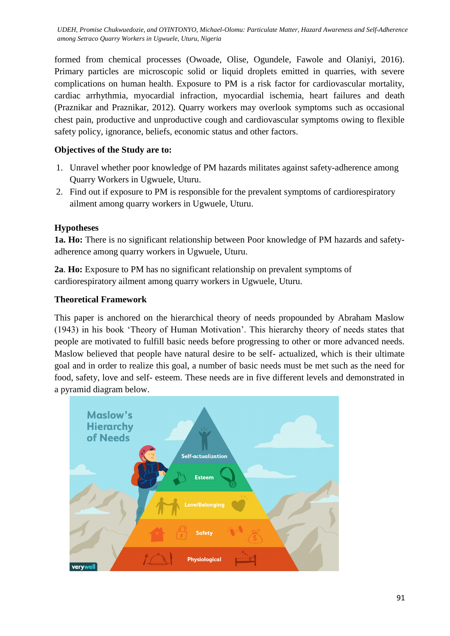formed from chemical processes (Owoade, Olise, Ogundele, Fawole and Olaniyi, 2016). Primary particles are microscopic solid or liquid droplets emitted in quarries, with severe complications on human health. Exposure to PM is a risk factor for cardiovascular mortality, cardiac arrhythmia, myocardial infraction, myocardial ischemia, heart failures and death (Praznikar and Praznikar, 2012). Quarry workers may overlook symptoms such as occasional chest pain, productive and unproductive cough and cardiovascular symptoms owing to flexible safety policy, ignorance, beliefs, economic status and other factors.

# **Objectives of the Study are to:**

- 1. Unravel whether poor knowledge of PM hazards militates against safety-adherence among Quarry Workers in Ugwuele, Uturu.
- 2. Find out if exposure to PM is responsible for the prevalent symptoms of cardiorespiratory ailment among quarry workers in Ugwuele, Uturu.

# **Hypotheses**

**1a. Ho:** There is no significant relationship between Poor knowledge of PM hazards and safetyadherence among quarry workers in Ugwuele, Uturu.

**2a**. **Ho:** Exposure to PM has no significant relationship on prevalent symptoms of cardiorespiratory ailment among quarry workers in Ugwuele, Uturu.

# **Theoretical Framework**

This paper is anchored on the hierarchical theory of needs propounded by Abraham Maslow (1943) in his book ‗Theory of Human Motivation'. This hierarchy theory of needs states that people are motivated to fulfill basic needs before progressing to other or more advanced needs. Maslow believed that people have natural desire to be self- actualized, which is their ultimate goal and in order to realize this goal, a number of basic needs must be met such as the need for food, safety, love and self- esteem. These needs are in five different levels and demonstrated in a pyramid diagram below.

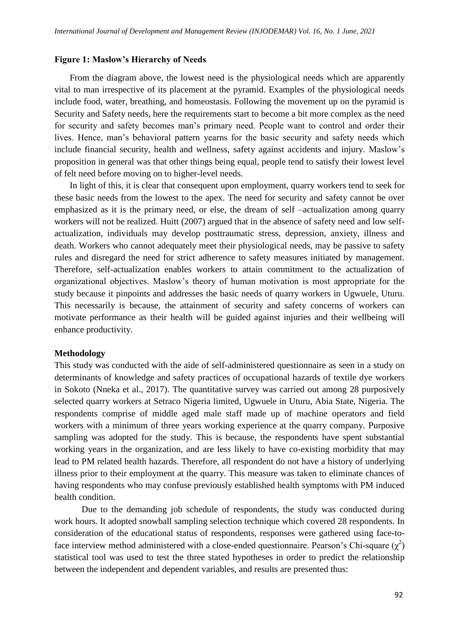#### **Figure 1: Maslow's Hierarchy of Needs**

From the diagram above, the lowest need is the physiological needs which are apparently vital to man irrespective of its placement at the pyramid. Examples of the physiological needs include food, water, breathing, and homeostasis. Following the movement up on the pyramid is Security and Safety needs, here the requirements start to become a bit more complex as the need for security and safety becomes man's primary need. People want to control and order their lives. Hence, man's behavioral pattern yearns for the basic security and safety needs which include financial security, health and wellness, safety against accidents and injury. Maslow's proposition in general was that other things being equal, people tend to satisfy their lowest level of felt need before moving on to higher-level needs.

In light of this, it is clear that consequent upon employment, quarry workers tend to seek for these basic needs from the lowest to the apex. The need for security and safety cannot be over emphasized as it is the primary need, or else, the dream of self –actualization among quarry workers will not be realized. Huitt (2007) argued that in the absence of safety need and low selfactualization, individuals may develop posttraumatic stress, depression, anxiety, illness and death. Workers who cannot adequately meet their physiological needs, may be passive to safety rules and disregard the need for strict adherence to safety measures initiated by management. Therefore, self-actualization enables workers to attain commitment to the actualization of organizational objectives. Maslow's theory of human motivation is most appropriate for the study because it pinpoints and addresses the basic needs of quarry workers in Ugwuele, Uturu. This necessarily is because, the attainment of security and safety concerns of workers can motivate performance as their health will be guided against injuries and their wellbeing will enhance productivity.

### **Methodology**

This study was conducted with the aide of self-administered questionnaire as seen in a study on determinants of knowledge and safety practices of occupational hazards of textile dye workers in Sokoto (Nneka et al., 2017). The quantitative survey was carried out among 28 purposively selected quarry workers at Setraco Nigeria limited, Ugwuele in Uturu, Abia State, Nigeria. The respondents comprise of middle aged male staff made up of machine operators and field workers with a minimum of three years working experience at the quarry company. Purposive sampling was adopted for the study. This is because, the respondents have spent substantial working years in the organization, and are less likely to have co-existing morbidity that may lead to PM related health hazards. Therefore, all respondent do not have a history of underlying illness prior to their employment at the quarry. This measure was taken to eliminate chances of having respondents who may confuse previously established health symptoms with PM induced health condition.

Due to the demanding job schedule of respondents, the study was conducted during work hours. It adopted snowball sampling selection technique which covered 28 respondents. In consideration of the educational status of respondents, responses were gathered using face-toface interview method administered with a close-ended questionnaire. Pearson's Chi-square  $(\chi^2)$ statistical tool was used to test the three stated hypotheses in order to predict the relationship between the independent and dependent variables, and results are presented thus: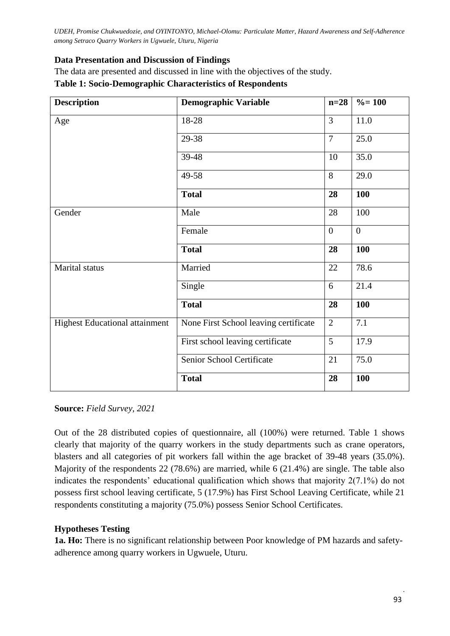# **Data Presentation and Discussion of Findings**

The data are presented and discussed in line with the objectives of the study.

### **Table 1: Socio-Demographic Characteristics of Respondents**

| <b>Description</b>                    | <b>Demographic Variable</b>           | $n=28$         | $\% = 100$       |
|---------------------------------------|---------------------------------------|----------------|------------------|
| Age                                   | 18-28                                 | $\overline{3}$ | 11.0             |
|                                       | 29-38                                 | $\overline{7}$ | 25.0             |
|                                       | 39-48                                 | 10             | 35.0             |
|                                       | 49-58                                 | 8              | 29.0             |
|                                       | <b>Total</b>                          | 28             | 100              |
| Gender                                | Male                                  | 28             | 100              |
|                                       | Female                                | $\overline{0}$ | $\boldsymbol{0}$ |
|                                       | <b>Total</b>                          | 28             | 100              |
| Marital status                        | Married                               | 22             | 78.6             |
|                                       | Single                                | 6              | 21.4             |
|                                       | <b>Total</b>                          | 28             | 100              |
| <b>Highest Educational attainment</b> | None First School leaving certificate | $\overline{2}$ | 7.1              |
|                                       | First school leaving certificate      | 5              | 17.9             |
|                                       | Senior School Certificate             | 21             | 75.0             |
|                                       | <b>Total</b>                          | 28             | 100              |

### **Source:** *Field Survey, 2021*

Out of the 28 distributed copies of questionnaire, all (100%) were returned. Table 1 shows clearly that majority of the quarry workers in the study departments such as crane operators, blasters and all categories of pit workers fall within the age bracket of 39-48 years (35.0%). Majority of the respondents 22 (78.6%) are married, while 6 (21.4%) are single. The table also indicates the respondents' educational qualification which shows that majority 2(7.1%) do not possess first school leaving certificate, 5 (17.9%) has First School Leaving Certificate, while 21 respondents constituting a majority (75.0%) possess Senior School Certificates.

# **Hypotheses Testing**

**1a. Ho:** There is no significant relationship between Poor knowledge of PM hazards and safetyadherence among quarry workers in Ugwuele, Uturu.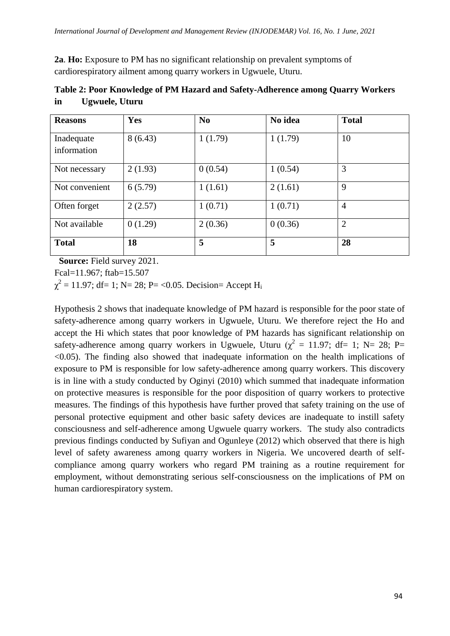**2a**. **Ho:** Exposure to PM has no significant relationship on prevalent symptoms of cardiorespiratory ailment among quarry workers in Ugwuele, Uturu.

| <b>Reasons</b>            | Yes     | N <sub>0</sub> | No idea | <b>Total</b>   |  |
|---------------------------|---------|----------------|---------|----------------|--|
| Inadequate<br>information | 8(6.43) | 1(1.79)        | 1(1.79) | 10             |  |
| Not necessary             | 2(1.93) | 0(0.54)        | 1(0.54) | 3              |  |
| Not convenient            | 6(5.79) | 1(1.61)        | 2(1.61) | 9              |  |
| Often forget              | 2(2.57) | 1(0.71)        | 1(0.71) | $\overline{4}$ |  |
| Not available             | 0(1.29) | 2(0.36)        | 0(0.36) | $\overline{2}$ |  |
| <b>Total</b>              | 18      | 5              | 5       | 28             |  |

|    | Table 2: Poor Knowledge of PM Hazard and Safety-Adherence among Quarry Workers |  |
|----|--------------------------------------------------------------------------------|--|
| in | Ugwuele, Uturu                                                                 |  |

 **Source:** Field survey 2021.

Fcal=11.967; ftab=15.507

 $\chi^2 = 11.97$ ; df= 1; N= 28; P= <0.05. Decision= Accept H<sub>i</sub>

Hypothesis 2 shows that inadequate knowledge of PM hazard is responsible for the poor state of safety-adherence among quarry workers in Ugwuele, Uturu. We therefore reject the Ho and accept the Hi which states that poor knowledge of PM hazards has significant relationship on safety-adherence among quarry workers in Ugwuele, Uturu ( $\chi^2 = 11.97$ ; df= 1; N= 28; P=  $\leq$ 0.05). The finding also showed that inadequate information on the health implications of exposure to PM is responsible for low safety-adherence among quarry workers. This discovery is in line with a study conducted by Oginyi (2010) which summed that inadequate information on protective measures is responsible for the poor disposition of quarry workers to protective measures. The findings of this hypothesis have further proved that safety training on the use of personal protective equipment and other basic safety devices are inadequate to instill safety consciousness and self-adherence among Ugwuele quarry workers. The study also contradicts previous findings conducted by Sufiyan and Ogunleye (2012) which observed that there is high level of safety awareness among quarry workers in Nigeria. We uncovered dearth of selfcompliance among quarry workers who regard PM training as a routine requirement for employment, without demonstrating serious self-consciousness on the implications of PM on human cardiorespiratory system.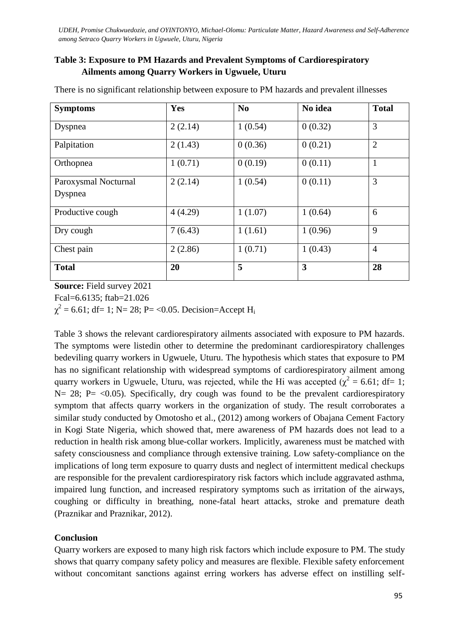# **Table 3: Exposure to PM Hazards and Prevalent Symptoms of Cardiorespiratory Ailments among Quarry Workers in Ugwuele, Uturu**

| <b>Symptoms</b>                 | Yes     | N <sub>0</sub> | No idea                 | <b>Total</b>   |
|---------------------------------|---------|----------------|-------------------------|----------------|
| Dyspnea                         | 2(2.14) | 1(0.54)        | 0(0.32)                 | 3              |
| Palpitation                     | 2(1.43) | 0(0.36)        | 0(0.21)                 | $\overline{2}$ |
| Orthopnea                       | 1(0.71) | 0(0.19)        | 0(0.11)                 | $\mathbf{1}$   |
| Paroxysmal Nocturnal<br>Dyspnea | 2(2.14) | 1(0.54)        | 0(0.11)                 | 3              |
| Productive cough                | 4(4.29) | 1(1.07)        | 1(0.64)                 | 6              |
| Dry cough                       | 7(6.43) | 1(1.61)        | 1(0.96)                 | 9              |
| Chest pain                      | 2(2.86) | 1(0.71)        | 1(0.43)                 | $\overline{4}$ |
| <b>Total</b>                    | 20      | 5              | $\overline{\mathbf{3}}$ | 28             |

There is no significant relationship between exposure to PM hazards and prevalent illnesses

**Source:** Field survey 2021

Fcal=6.6135; ftab=21.026

 $\chi^2$  = 6.61; df= 1; N= 28; P= <0.05. Decision=Accept H<sub>i</sub>

Table 3 shows the relevant cardiorespiratory ailments associated with exposure to PM hazards. The symptoms were listedin other to determine the predominant cardiorespiratory challenges bedeviling quarry workers in Ugwuele, Uturu. The hypothesis which states that exposure to PM has no significant relationship with widespread symptoms of cardiorespiratory ailment among quarry workers in Ugwuele, Uturu, was rejected, while the Hi was accepted ( $\chi^2 = 6.61$ ; df= 1;  $N= 28$ ; P= <0.05). Specifically, dry cough was found to be the prevalent cardiorespiratory symptom that affects quarry workers in the organization of study. The result corroborates a similar study conducted by Omotosho et al., (2012) among workers of Obajana Cement Factory in Kogi State Nigeria, which showed that, mere awareness of PM hazards does not lead to a reduction in health risk among blue-collar workers. Implicitly, awareness must be matched with safety consciousness and compliance through extensive training. Low safety-compliance on the implications of long term exposure to quarry dusts and neglect of intermittent medical checkups are responsible for the prevalent cardiorespiratory risk factors which include aggravated asthma, impaired lung function, and increased respiratory symptoms such as irritation of the airways, coughing or difficulty in breathing, none-fatal heart attacks, stroke and premature death (Praznikar and Praznikar, 2012).

### **Conclusion**

Quarry workers are exposed to many high risk factors which include exposure to PM. The study shows that quarry company safety policy and measures are flexible. Flexible safety enforcement without concomitant sanctions against erring workers has adverse effect on instilling self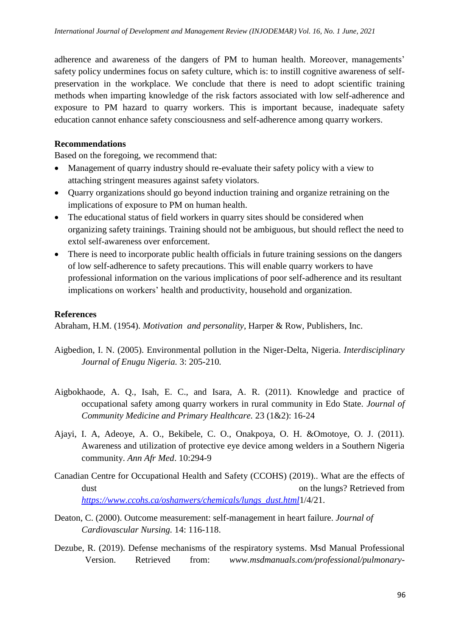adherence and awareness of the dangers of PM to human health. Moreover, managements' safety policy undermines focus on safety culture, which is: to instill cognitive awareness of selfpreservation in the workplace. We conclude that there is need to adopt scientific training methods when imparting knowledge of the risk factors associated with low self-adherence and exposure to PM hazard to quarry workers. This is important because, inadequate safety education cannot enhance safety consciousness and self-adherence among quarry workers.

## **Recommendations**

Based on the foregoing, we recommend that:

- Management of quarry industry should re-evaluate their safety policy with a view to attaching stringent measures against safety violators.
- Quarry organizations should go beyond induction training and organize retraining on the implications of exposure to PM on human health.
- The educational status of field workers in quarry sites should be considered when organizing safety trainings. Training should not be ambiguous, but should reflect the need to extol self-awareness over enforcement.
- There is need to incorporate public health officials in future training sessions on the dangers of low self-adherence to safety precautions. This will enable quarry workers to have professional information on the various implications of poor self-adherence and its resultant implications on workers' health and productivity, household and organization.

# **References**

Abraham, H.M. (1954). *Motivation and personality*, Harper & Row, Publishers, Inc.

- Aigbedion, I. N. (2005). Environmental pollution in the Niger-Delta, Nigeria. *Interdisciplinary Journal of Enugu Nigeria.* 3: 205-210*.*
- Aigbokhaode, A. Q., Isah, E. C., and Isara, A. R. (2011). Knowledge and practice of occupational safety among quarry workers in rural community in Edo State. *Journal of Community Medicine and Primary Healthcare.* 23 (1&2): 16-24
- Ajayi, I. A, Adeoye, A. O., Bekibele, C. O., Onakpoya, O. H. &Omotoye, O. J. (2011). Awareness and utilization of protective eye device among welders in a Southern Nigeria community. *Ann Afr Med*. 10:294-9
- Canadian Centre for Occupational Health and Safety (CCOHS) (2019).. What are the effects of dust on the lungs? Retrieved from *[https://www.ccohs.ca/oshanwers/chemicals/lungs\\_dust.html](https://www.ccohs.ca/oshanwers/chemicals/lungs_dust.html)*1/4/21.
- Deaton, C. (2000). Outcome measurement: self-management in heart failure. *Journal of Cardiovascular Nursing.* 14: 116-118.
- Dezube, R. (2019). Defense mechanisms of the respiratory systems. Msd Manual Professional Version. Retrieved from: *www.msdmanuals.com/professional/pulmonary-*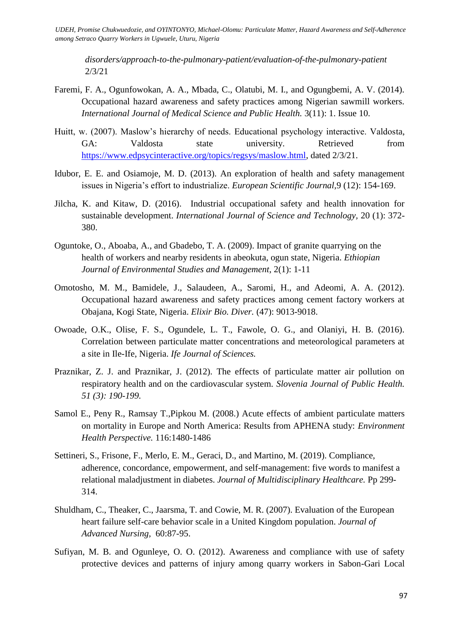*disorders/approach-to-the-pulmonary-patient/evaluation-of-the-pulmonary-patient*  2/3/21

- Faremi, F. A., Ogunfowokan, A. A., Mbada, C., Olatubi, M. I., and Ogungbemi, A. V. (2014). Occupational hazard awareness and safety practices among Nigerian sawmill workers. *International Journal of Medical Science and Public Health.* 3(11): 1. Issue 10.
- Huitt, w. (2007). Maslow's hierarchy of needs. Educational psychology interactive. Valdosta, GA: Valdosta state university. Retrieved from [https://www.edpsycinteractive.org/topics/regsys/maslow.html,](https://www.edpsycinteractive.org/topics/regsys/maslow.html) dated 2/3/21.
- Idubor, E. E. and Osiamoje, M. D. (2013). An exploration of health and safety management issues in Nigeria's effort to industrialize. *European Scientific Journal,*9 (12): 154-169.
- Jilcha, K. and Kitaw, D. (2016). Industrial occupational safety and health innovation for sustainable development. *International Journal of Science and Technology,* 20 (1): 372- 380.
- Oguntoke, O., Aboaba, A., and Gbadebo, T. A. (2009). Impact of granite quarrying on the health of workers and nearby residents in abeokuta, ogun state, Nigeria. *Ethiopian Journal of Environmental Studies and Management*, 2(1): 1-11
- Omotosho, M. M., Bamidele, J., Salaudeen, A., Saromi, H., and Adeomi, A. A. (2012). Occupational hazard awareness and safety practices among cement factory workers at Obajana, Kogi State, Nigeria. *Elixir Bio. Diver.* (47): 9013-9018.
- Owoade, O.K., Olise, F. S., Ogundele, L. T., Fawole, O. G., and Olaniyi, H. B. (2016). Correlation between particulate matter concentrations and meteorological parameters at a site in Ile-Ife, Nigeria. *Ife Journal of Sciences.*
- Praznikar, Z. J. and Praznikar, J. (2012). The effects of particulate matter air pollution on respiratory health and on the cardiovascular system. *Slovenia Journal of Public Health. 51 (3): 190-199.*
- Samol E., Peny R., Ramsay T.,Pipkou M. (2008.) Acute effects of ambient particulate matters on mortality in Europe and North America: Results from APHENA study: *Environment Health Perspective.* 116:1480-1486
- Settineri, S., Frisone, F., Merlo, E. M., Geraci, D., and Martino, M. (2019). Compliance, adherence, concordance, empowerment, and self-management: five words to manifest a relational maladjustment in diabetes. *Journal of Multidisciplinary Healthcare.* Pp 299- 314.
- Shuldham, C., Theaker, C., Jaarsma, T. and Cowie, M. R. (2007). Evaluation of the European heart failure self-care behavior scale in a United Kingdom population. *Journal of Advanced Nursing,* 60:87-95.
- Sufiyan, M. B. and Ogunleye, O. O. (2012). Awareness and compliance with use of safety protective devices and patterns of injury among quarry workers in Sabon-Gari Local